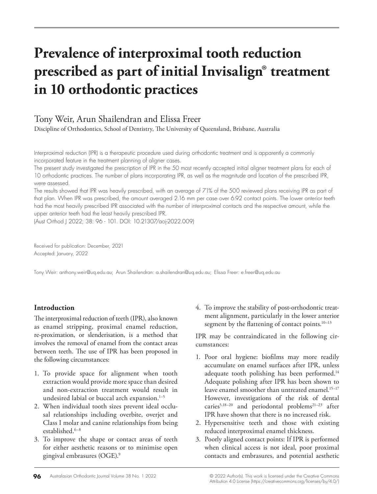# **Prevalence of interproximal tooth reduction prescribed as part of initial Invisalign® treatment in 10 orthodontic practices**

# Tony Weir, Arun Shailendran and Elissa Freer

Discipline of Orthodontics, School of Dentistry, The University of Queensland, Brisbane, Australia

Interproximal reduction (IPR) is a therapeutic procedure used during orthodontic treatment and is apparently a commonly incorporated feature in the treatment planning of aligner cases.

The present study investigated the prescription of IPR in the 50 most recently accepted initial aligner treatment plans for each of 10 orthodontic practices. The number of plans incorporating IPR, as well as the magnitude and location of the prescribed IPR, were assessed.

The results showed that IPR was heavily prescribed, with an average of 71% of the 500 reviewed plans receiving IPR as part of that plan. When IPR was prescribed, the amount averaged 2.16 mm per case over 6.92 contact points. The lower anterior teeth had the most heavily prescribed IPR associated with the number of interproximal contacts and the respective amount, while the upper anterior teeth had the least heavily prescribed IPR.

(Aust Orthod J 2022; 38: 96 - 101. DOI: 10.21307/aoj-2022.009)

Received for publication: December, 2021 Accepted: January, 2022

Tony Weir: anthony.weir@uq.edu.au; Arun Shailendran: a.shailendran@uq.edu.au; Elissa Freer: e.freer@uq.edu.au

## **Introduction**

The interproximal reduction of teeth (IPR), also known as enamel stripping, proximal enamel reduction, re-proximation, or slenderisation, is a method that involves the removal of enamel from the contact areas between teeth. The use of IPR has been proposed in the following circumstances:

- 1. To provide space for alignment when tooth extraction would provide more space than desired and non-extraction treatment would result in undesired labial or buccal arch expansion.<sup>1-5</sup>
- 2. When individual tooth sizes prevent ideal occlusal relationships including overbite, overjet and Class I molar and canine relationships from being established.<sup>6-8</sup>
- 3. To improve the shape or contact areas of teeth for either aesthetic reasons or to minimise open gingival embrasures (OGE).9

4. To improve the stability of post-orthodontic treatment alignment, particularly in the lower anterior segment by the flattening of contact points.<sup>10-13</sup>

IPR may be contraindicated in the following circumstances:

- 1. Poor oral hygiene: biofilms may more readily accumulate on enamel surfaces after IPR, unless adequate tooth polishing has been performed.<sup>14</sup> Adequate polishing after IPR has been shown to leave enamel smoother than untreated enamel.<sup>15-17</sup> However, investigations of the risk of dental caries<sup>5,18-20</sup> and periodontal problems<sup>21-23</sup> after IPR have shown that there is no increased risk.
- 2. Hypersensitive teeth and those with existing reduced interproximal enamel thickness.
- 3. Poorly aligned contact points: If IPR is performed when clinical access is not ideal, poor proximal contacts and embrasures, and potential aesthetic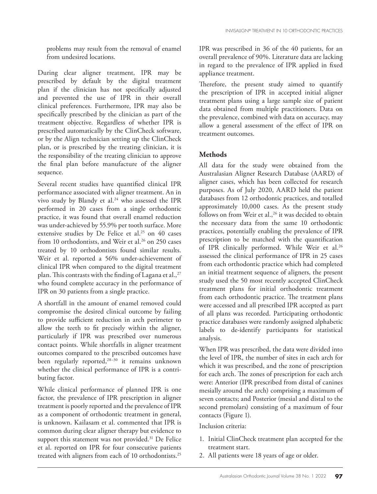problems may result from the removal of enamel from undesired locations.

During clear aligner treatment, IPR may be prescribed by default by the digital treatment plan if the clinician has not specifically adjusted and prevented the use of IPR in their overall clinical preferences. Furthermore, IPR may also be specifically prescribed by the clinician as part of the treatment objective. Regardless of whether IPR is prescribed automatically by the ClinCheck software, or by the Align technician setting up the ClinCheck plan, or is prescribed by the treating clinician, it is the responsibility of the treating clinician to approve the final plan before manufacture of the aligner sequence.

Several recent studies have quantified clinical IPR performance associated with aligner treatment. An in vivo study by Blandy et al.<sup>24</sup> who assessed the IPR performed in 20 cases from a single orthodontic practice, it was found that overall enamel reduction was under-achieved by 55.9% per tooth surface. More extensive studies by De Felice et al.<sup>25</sup> on 40 cases from 10 orthodontists, and Weir et al.<sup>26</sup> on 250 cases treated by 10 orthodontists found similar results. Weir et al. reported a 56% under-achievement of clinical IPR when compared to the digital treatment plan. This contrasts with the finding of Lagana et al.,<sup>27</sup> who found complete accuracy in the performance of IPR on 30 patients from a single practice.

A shortfall in the amount of enamel removed could compromise the desired clinical outcome by failing to provide sufficient reduction in arch perimeter to allow the teeth to fit precisely within the aligner, particularly if IPR was prescribed over numerous contact points. While shortfalls in aligner treatment outcomes compared to the prescribed outcomes have been regularly reported,<sup>28-30</sup> it remains unknown whether the clinical performance of IPR is a contributing factor.

While clinical performance of planned IPR is one factor, the prevalence of IPR prescription in aligner treatment is poorly reported and the prevalence of IPR as a component of orthodontic treatment in general, is unknown. Kailasam et al. commented that IPR is common during clear aligner therapy but evidence to support this statement was not provided.<sup>31</sup> De Felice et al. reported on IPR for four consecutive patients treated with aligners from each of 10 orthodontists.25

IPR was prescribed in 36 of the 40 patients, for an overall prevalence of 90%. Literature data are lacking in regard to the prevalence of IPR applied in fixed appliance treatment.

Therefore, the present study aimed to quantify the prescription of IPR in accepted initial aligner treatment plans using a large sample size of patient data obtained from multiple practitioners. Data on the prevalence, combined with data on accuracy, may allow a general assessment of the effect of IPR on treatment outcomes.

### **Methods**

All data for the study were obtained from the Australasian Aligner Research Database (AARD) of aligner cases, which has been collected for research purposes. As of July 2020, AARD held the patient databases from 12 orthodontic practices, and totalled approximately 10,000 cases. As the present study follows on from Weir et al.,  $26$  it was decided to obtain the necessary data from the same 10 orthodontic practices, potentially enabling the prevalence of IPR prescription to be matched with the quantification of IPR clinically performed. While Weir et al.<sup>26</sup> assessed the clinical performance of IPR in 25 cases from each orthodontic practice which had completed an initial treatment sequence of aligners, the present study used the 50 most recently accepted ClinCheck treatment plans for initial orthodontic treatment from each orthodontic practice. The treatment plans were accessed and all prescribed IPR accepted as part of all plans was recorded. Participating orthodontic practice databases were randomly assigned alphabetic labels to de-identify participants for statistical analysis.

When IPR was prescribed, the data were divided into the level of IPR, the number of sites in each arch for which it was prescribed, and the zone of prescription for each arch. The zones of prescription for each arch were: Anterior (IPR prescribed from distal of canines mesially around the arch) comprising a maximum of seven contacts; and Posterior (mesial and distal to the second premolars) consisting of a maximum of four contacts (Figure 1).

Inclusion criteria:

- 1. Initial ClinCheck treatment plan accepted for the treatment start.
- 2. All patients were 18 years of age or older.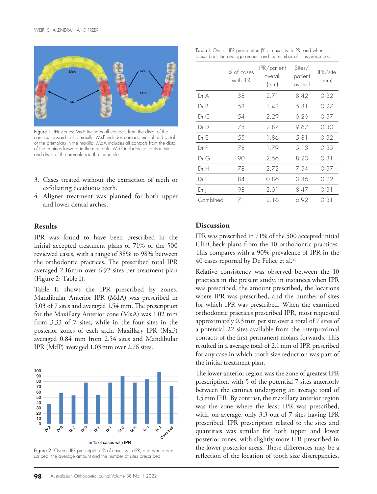

Figure 1. IPR Zones: MxA includes all contacts from the distal of the canines forward in the maxilla; MxP includes contacts mesial and distal of the premolars in the maxilla. MdA includes all contacts from the distal of the canines forward in the mandible; MdP includes contacts mesial and distal of the premolars in the mandible.

- 3. Cases treated without the extraction of teeth or exfoliating deciduous teeth.
- 4. Aligner treatment was planned for both upper and lower dental arches.

#### **Results**

IPR was found to have been prescribed in the initial accepted treatment plans of 71% of the 500 reviewed cases, with a range of 38% to 98% between the orthodontic practices. The prescribed total IPR averaged 2.16mm over 6.92 sites per treatment plan (Figure 2; Table I).

Table II shows the IPR prescribed by zones. Mandibular Anterior IPR (MdA) was prescribed in 5.03 of 7 sites and averaged 1.54 mm. The prescription for the Maxillary Anterior zone (MxA) was 1.02 mm from 3.33 of 7 sites, while in the four sites in the posterior zones of each arch, Maxillary IPR (MxP) averaged 0.84 mm from 2.54 sites and Mandibular IPR (MdP) averaged 1.03mm over 2.76 sites.



scribed, the average amount and the number of sites prescribed.

| Table I. Overall IPR prescription (% of cases with IPR, and when    |  |
|---------------------------------------------------------------------|--|
| prescribed, the average amount and the number of sites prescribed). |  |

|          | % of cases<br>with IPR | IPR/patient<br>overall<br>(mm) | Sites/<br>patient<br>overall | $IPR\$ site<br>(mm) |
|----------|------------------------|--------------------------------|------------------------------|---------------------|
| Dr A     | 38                     | 2.71                           | 8.42                         | 0.32                |
| Dr B     | 58                     | 1.43                           | 5.31                         | 0.27                |
| Dr C     | 54                     | 2.29                           | 6.26                         | 0.37                |
| Dr D     | 78                     | 2.87                           | 9.67                         | 0.30                |
| Dr E     | 55                     | 1.86                           | 5.81                         | 0.32                |
| Dr F     | 78                     | 1.79                           | 5.13                         | 0.35                |
| Dr G     | 90                     | 2.56                           | 8.20                         | 0.31                |
| Dr H     | 78                     | 2.72                           | 7.34                         | 0.37                |
| Dr I     | 84                     | 0.86                           | 3.86                         | 0.22                |
| Dr J     | 98                     | 2.61                           | 8.47                         | 0.31                |
| Combined | 71                     | 2.16                           | 6.92                         | 0.31                |

#### **Discussion**

IPR was prescribed in 71% of the 500 accepted initial ClinCheck plans from the 10 orthodontic practices. This compares with a 90% prevalence of IPR in the 40 cases reported by De Felice et al.<sup>25</sup>

Relative consistency was observed between the 10 practices in the present study, in instances when IPR was prescribed, the amount prescribed, the locations where IPR was prescribed, and the number of sites for which IPR was prescribed. When the examined orthodontic practices prescribed IPR, most requested approximately 0.3mm per site over a total of 7 sites of a potential 22 sites available from the interproximal contacts of the first permanent molars forwards. This resulted in a average total of 2.1mm of IPR prescribed for any case in which tooth size reduction was part of the initial treatment plan.

The lower anterior region was the zone of greatest IPR prescription, with 5 of the potential 7 sites anteriorly between the canines undergoing an average total of 1.5mm IPR. By contrast, the maxillary anterior region was the zone where the least IPR was prescribed, with, on average, only 3.3 out of 7 sites having IPR prescribed. IPR prescription related to the sites and quantities was similar for both upper and lower posterior zones, with slightly more IPR prescribed in the lower posterior areas. These differences may be a reflection of the location of tooth size discrepancies,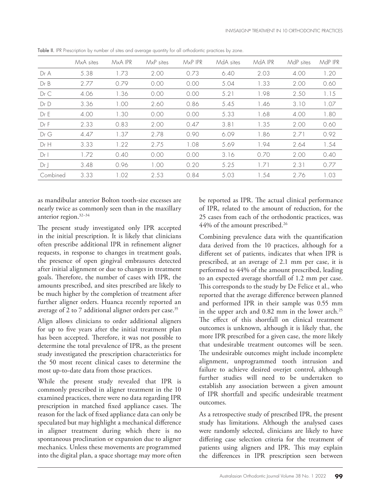|                 | MxA sites | MxA IPR | MxP sites | $M \times P$ IPR | MdA sites | MdA IPR | MdP sites | MdP IPR |
|-----------------|-----------|---------|-----------|------------------|-----------|---------|-----------|---------|
| Dr A            | 5.38      | 1.73    | 2.00      | 0.73             | 6.40      | 2.03    | 4.00      | 1.20    |
| Dr B            | 2.77      | 079     | 0.00      | 0.00             | 5.04      | 1.33    | 2.00      | 0.60    |
| Dr C            | 4.06      | 1.36    | 0.00      | 0.00             | 5.21      | 1.98    | 2.50      | 1.15    |
| Dr D            | 3.36      | 1.00    | 2.60      | 0.86             | 5.45      | 1.46    | 3.10      | 1.07    |
| Dr E            | 4.00      | 1.30    | 0.00      | 0.00             | 5.33      | 1.68    | 4.00      | 1.80    |
| Dr F            | 2.33      | 0.83    | 2.00      | 0.47             | 3.81      | 1.35    | 2.00      | 0.60    |
| Dr G            | 4.47      | 1.37    | 2.78      | 0.90             | 6.09      | 1.86    | 2.71      | 0.92    |
| Dr H            | 3.33      | 1.22    | 2.75      | 1.08             | 5.69      | 1.94    | 2.64      | 1.54    |
| Dr <sub>1</sub> | 1.72      | 0.40    | 0.00      | 0.00             | 3.16      | 0.70    | 2.00      | 0.40    |
| Dr              | 3.48      | 0.96    | 1.00      | 0.20             | 5.25      | 1.71    | 2.31      | 0.77    |
| Combined        | 3.33      | 1.02    | 2.53      | 0.84             | 5.03      | 1.54    | 2.76      | 1.03    |

Table II. IPR Prescription by number of sites and average quantity for all orthodontic practices by zone.

as mandibular anterior Bolton tooth-size excesses are nearly twice as commonly seen than in the maxillary anterior region.32–34

The present study investigated only IPR accepted in the initial prescription. It is likely that clinicians often prescribe additional IPR in refinement aligner requests, in response to changes in treatment goals, the presence of open gingival embrasures detected after initial alignment or due to changes in treatment goals. Therefore, the number of cases with IPR, the amounts prescribed, and sites prescribed are likely to be much higher by the completion of treatment after further aligner orders. Huanca recently reported an average of 2 to 7 additional aligner orders per case.<sup>35</sup>

Align allows clinicians to order additional aligners for up to five years after the initial treatment plan has been accepted. Therefore, it was not possible to determine the total prevalence of IPR, as the present study investigated the prescription characteristics for the 50 most recent clinical cases to determine the most up-to-date data from those practices.

While the present study revealed that IPR is commonly prescribed in aligner treatment in the 10 examined practices, there were no data regarding IPR prescription in matched fixed appliance cases. The reason for the lack of fixed appliance data can only be speculated but may highlight a mechanical difference in aligner treatment during which there is no spontaneous proclination or expansion due to aligner mechanics. Unless these movements are programmed into the digital plan, a space shortage may more often

be reported as IPR. The actual clinical performance of IPR, related to the amount of reduction, for the 25 cases from each of the orthodontic practices, was 44% of the amount prescribed.<sup>26</sup>

Combining prevalence data with the quantification data derived from the 10 practices, although for a different set of patients, indicates that when IPR is prescribed, at an average of 2.1 mm per case, it is performed to 44% of the amount prescribed, leading to an expected average shortfall of 1.2 mm per case. This corresponds to the study by De Felice et al., who reported that the average difference between planned and performed IPR in their sample was 0.55 mm in the upper arch and  $0.82$  mm in the lower arch.<sup>25</sup> The effect of this shortfall on clinical treatment outcomes is unknown, although it is likely that, the more IPR prescribed for a given case, the more likely that undesirable treatment outcomes will be seen. The undesirable outcomes might include incomplete alignment, unprogrammed tooth intrusion and failure to achieve desired overjet control, although further studies will need to be undertaken to establish any association between a given amount of IPR shortfall and specific undesirable treatment outcomes.

As a retrospective study of prescribed IPR, the present study has limitations. Although the analysed cases were randomly selected, clinicians are likely to have differing case selection criteria for the treatment of patients using aligners and IPR. This may explain the differences in IPR prescription seen between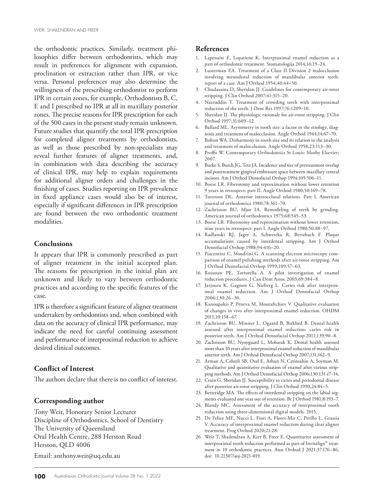the orthodontic practices. Similarly, treatment philosophies differ between orthodontists, which may result in preferences for alignment with expansion, proclination or extraction rather than IPR, or vice versa. Personal preferences may also determine the willingness of the prescribing orthodontist to perform IPR in certain zones, for example, Orthodontists B, C, E and I prescribed no IPR at all in maxillary posterior zones. The precise reasons for IPR prescription for each of the 500 cases in the present study remain unknown. Future studies that quantify the total IPR prescription for completed aligner treatments by orthodontists, as well as those prescribed by non-specialists may reveal further features of aligner treatments, and, in combination with data describing the accuracy of clinical IPR, may help to explain requirements for additional aligner orders and challenges in the finishing of cases. Studies reporting on IPR prevalence in fixed appliance cases would also be of interest, especially if significant differences in IPR prescription are found between the two orthodontic treatment modalities.

#### **Conclusions**

It appears that IPR is commonly prescribed as part of aligner treatment in the initial accepted plan. The reasons for prescription in the initial plan are unknown and likely to vary between orthodontic practices and according to the specific features of the case.

IPR is therefore a significant feature of aligner treatment undertaken by orthodontists and, when combined with data on the accuracy of clinical IPR performance, may indicate the need for careful continuing assessment and performance of interproximal reduction to achieve desired clinical outcomes.

#### **Conflict of Interest**

The authors declare that there is no conflict of interest.

#### **Corresponding author**

Tony Weir, Honorary Senior Lecturer Discipline of Orthodontics, School of Dentistry The University of Queensland Oral Health Centre, 288 Herston Road Herston, QLD 4006

Email: anthony.weir@uq.edu.au

#### **References**

- 1. Lapenaite E, Lopatiene K. Interproximal enamel reduction as a part of orthodontic treatment. Stomatologija 2014;16:19–24.
- 2. Lusterman EA. Treatment of a Class II Division 2 malocclusion involving mesiodistal reduction of mandibular anterior teeth: report of a case. Am J Orthod 1954;40:44–50.
- 3. Chudasama D, Sheridan JJ. Guidelines for contemporary air-rotor stripping. J Clin Orthod 2007;41:315–20.
- 4. Nazruddin T. Treatment of crowding teeth with interproximal reduction of the teeth. J Dent Res 1997;76:1209–10.
- 5. Sheridan JJ. The physiologic rationale for air-rotor stripping. J Clin Orthod 1997;31:609–12.
- 6. Ballard ML. Asymmetry in tooth size: a factor in the etiology, diagnosis and treatment of malocclusion. Angle Orthod 1944;14:67–70.
- 7. Bolton WA. Disharmony in tooth size and its relation to the analysis and treatment of malocclusion. Angle Orthod 1958;23:113–30.
- 8. Proffit W. Contemporary Orthodontics St Louis: Mosby Elsevier; 2007.
- 9. Burke S, Burch JG, Tetz JA. Incidence and size of pretreatment overlap and posttreatment gingival embrasure space between maxillary central incisors. Am J Orthod Dentofacial Orthop 1994;105:506–11.
- 10. Boese LR. Fiberotomy and reproximation without lower retention 9 years in retrospect: part II. Angle Orthod 1980;50:169–78.
- 11. Tuverson DL. Anterior interocclusal relations. Part I. American journal of orthodontics 1980;78:361–70.
- 12. Zachrisson BU, Mjor IA. Remodeling of teeth by grinding. American journal of orthodontics 1975;68:545–53.
- 13. Boese LR. Fiberotomy and reproximation without lower retention, nine years in retrospect: part I. Angle Orthod 1980;50:88–97.
- 14. Radlanski RJ, Jager A, Schwestka R, Bertzbach F. Plaque accumulations caused by interdental stripping. Am J Orthod Dentofacial Orthop 1988;94:416–20.
- 15. Piacentini C, Sfondrini G. A scanning electron microscopy comparison of enamel polishing methods after air-rotor stripping. Am J Orthod Dentofacial Orthop 1999;109:57–63.
- 16. Rossouw PE, Tortorella A. A pilot investigation of enamel reduction procedures. J Can Dent Assoc 2003;69:384–8.
- 17. Jarjoura K, Gagnon G, Nieberg L. Caries risk after interproximal enamel reduction. Am J Orthod Dentofacial Orthop 2006;130:26–30.
- 18. Kanoupakis P, Peneva M, Moutaftchiev V. Qualitative evaluation of changes in vivo after interproximal enamel reduction. OHDM 2011;10:158–67.
- 19. Zachrisson BU, Minster L, Ogaard B, Birkhed B. Dental health assessed after interproximal enamel reduction: caries risk in posterior teeth. Am J Orthod Dentofacial Orthop 2011;139:90–8.
- 20. Zachrisson BU, Nyoygaard L, Mobarak K. Dental health assessed more than 10 years after interproximal enamel reduction of mandibular anterior teeth. Am J Orthod Dentofacial Orthop 2007;131:162–9.
- 21. Arman A, Cehreli SB, Ozel E, Arhun N, Cetinsahin A, Soyman M. Qualitative and quantitative evaluation of enamel after various stripping methods. Am J Orthod Dentofacial Orthop 2006;130:131 e7–14.
- 22. Crain G, Sheridan JJ. Susceptibility to caries and periodontal disease after posterior air-rotor stripping. J Clin Orthod 1990;24:84–5.
- 23. Betteridge MA. The effects of interdental stripping on the labial segments evaluated one year out of retention. Br J Orthod 1981;8:193–7.
- 24. Blandy MC. Assessment of the accuracy of interproximal tooth reduction using three-dimensional digital models. 2015.
- 25. De Felice ME, Nucci L, Fiori A, Flores-Mir C, Perillo L, Grassia V. Accuracy of interproximal enamel reduction during clear aligner treatment. Prog Orthod 2020;21:28.
- 26. Weir T, Shailendran A, Kerr B, Freer E. Quantitative assessment of interproximal tooth reduction performed as part of Invisalign® treatment in 10 orthodontic practices. Aust Orthod J 2021;37:176–86, doi: 10.21307/aoj-2021-019.